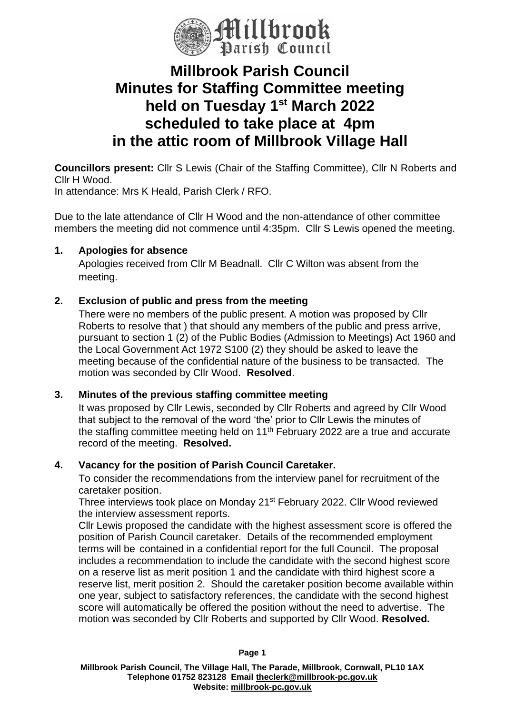

# **Millbrook Parish Council Minutes for Staffing Committee meeting held on Tuesday 1st March 2022 scheduled to take place at 4pm in the attic room of Millbrook Village Hall**

**Councillors present:** Cllr S Lewis (Chair of the Staffing Committee), Cllr N Roberts and Cllr H Wood.

In attendance: Mrs K Heald, Parish Clerk / RFO.

Due to the late attendance of Cllr H Wood and the non-attendance of other committee members the meeting did not commence until 4:35pm. Cllr S Lewis opened the meeting.

### **1. Apologies for absence**

Apologies received from Cllr M Beadnall. Cllr C Wilton was absent from the meeting.

## **2. Exclusion of public and press from the meeting**

There were no members of the public present. A motion was proposed by Cllr Roberts to resolve that ) that should any members of the public and press arrive, pursuant to section 1 (2) of the Public Bodies (Admission to Meetings) Act 1960 and the Local Government Act 1972 S100 (2) they should be asked to leave the meeting because of the confidential nature of the business to be transacted. The motion was seconded by Cllr Wood. **Resolved**.

### **3. Minutes of the previous staffing committee meeting**

It was proposed by Cllr Lewis, seconded by Cllr Roberts and agreed by Cllr Wood that subject to the removal of the word 'the' prior to Cllr Lewis the minutes of the staffing committee meeting held on 11<sup>th</sup> February 2022 are a true and accurate record of the meeting. **Resolved.**

### **4. Vacancy for the position of Parish Council Caretaker.**

To consider the recommendations from the interview panel for recruitment of the caretaker position.

Three interviews took place on Monday 21st February 2022. Cllr Wood reviewed the interview assessment reports.

Cllr Lewis proposed the candidate with the highest assessment score is offered the position of Parish Council caretaker. Details of the recommended employment terms will be contained in a confidential report for the full Council. The proposal includes a recommendation to include the candidate with the second highest score on a reserve list as merit position 1 and the candidate with third highest score a reserve list, merit position 2. Should the caretaker position become available within one year, subject to satisfactory references, the candidate with the second highest score will automatically be offered the position without the need to advertise. The motion was seconded by Cllr Roberts and supported by Cllr Wood. **Resolved.**

**Millbrook Parish Council, The Village Hall, The Parade, Millbrook, Cornwall, PL10 1AX Telephone 01752 823128 Email [theclerk@millbrook-pc.gov.uk](mailto:theclerk@millbrook-pc.gov.uk) Website: [millbrook-pc.gov.uk](https://millbrook-pc.gov.uk/)**